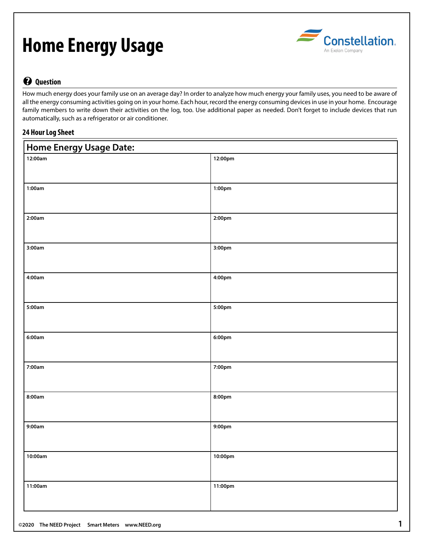# **Home Energy Usage**



## **? Question**

How much energy does your family use on an average day? In order to analyze how much energy your family uses, you need to be aware of all the energy consuming activities going on in your home. Each hour, record the energy consuming devices in use in your home. Encourage family members to write down their activities on the log, too. Use additional paper as needed. Don't forget to include devices that run automatically, such as a refrigerator or air conditioner.

### **24 Hour Log Sheet**

| <b>Home Energy Usage Date:</b> |         |  |  |  |  |  |  |  |  |
|--------------------------------|---------|--|--|--|--|--|--|--|--|
| 12:00am                        | 12:00pm |  |  |  |  |  |  |  |  |
| 1:00am                         | 1:00pm  |  |  |  |  |  |  |  |  |
| 2:00am                         | 2:00pm  |  |  |  |  |  |  |  |  |
| 3:00am                         | 3:00pm  |  |  |  |  |  |  |  |  |
| 4:00am                         | 4:00pm  |  |  |  |  |  |  |  |  |
| 5:00am                         | 5:00pm  |  |  |  |  |  |  |  |  |
| 6:00am                         | 6:00pm  |  |  |  |  |  |  |  |  |
| 7:00am                         | 7:00pm  |  |  |  |  |  |  |  |  |
| 8:00am                         | 8:00pm  |  |  |  |  |  |  |  |  |
| 9:00am                         | 9:00pm  |  |  |  |  |  |  |  |  |
| 10:00am                        | 10:00pm |  |  |  |  |  |  |  |  |
| 11:00am                        | 11:00pm |  |  |  |  |  |  |  |  |